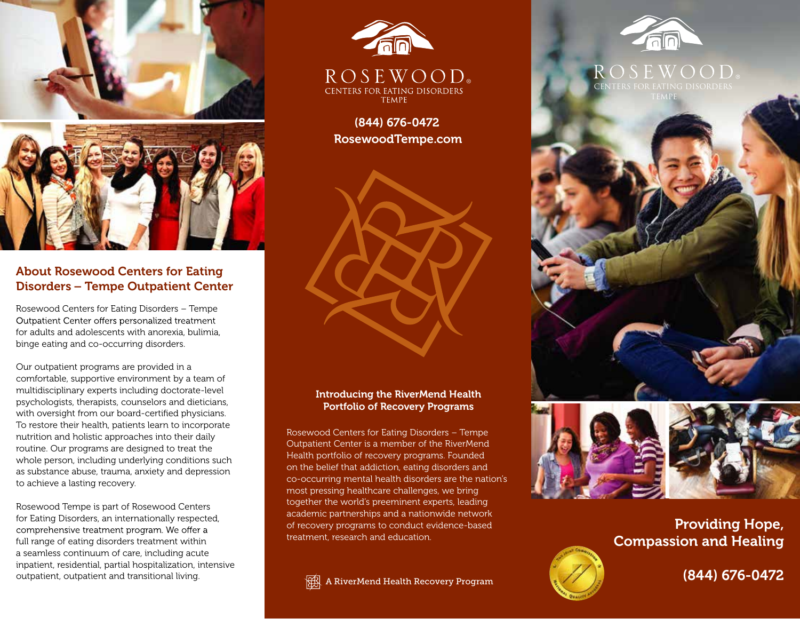

# About Rosewood Centers for Eating Disorders – Tempe Outpatient Center

Rosewood Centers for Eating Disorders – Tempe Outpatient Center offers personalized treatment for adults and adolescents with anorexia, bulimia, binge eating and co-occurring disorders.

Our outpatient programs are provided in a comfortable, supportive environment by a team of multidisciplinary experts including doctorate-level psychologists, therapists, counselors and dieticians, with oversight from our board-certified physicians. To restore their health, patients learn to incorporate nutrition and holistic approaches into their daily routine. Our programs are designed to treat the whole person, including underlying conditions such as substance abuse, trauma, anxiety and depression to achieve a lasting recovery.

Rosewood Tempe is part of Rosewood Centers for Eating Disorders, an internationally respected, comprehensive treatment program. We offer a full range of eating disorders treatment within a seamless continuum of care, including acute inpatient, residential, partial hospitalization, intensive outpatient, outpatient and transitional living.



(844) 676-0472 RosewoodTempe.com



## Introducing the RiverMend Health Portfolio of Recovery Programs

Rosewood Centers for Eating Disorders – Tempe Outpatient Center is a member of the RiverMend Health portfolio of recovery programs. Founded on the belief that addiction, eating disorders and co-occurring mental health disorders are the nation's most pressing healthcare challenges, we bring together the world's preeminent experts, leading academic partnerships and a nationwide network of recovery programs to conduct evidence-based treatment, research and education.

ARI A RiverMend Health Recovery Program



## $OS$  F W  $O$  O D CENTERS FOR EATING DISORDERS TEMPE



Providing Hope, Compassion and Healing